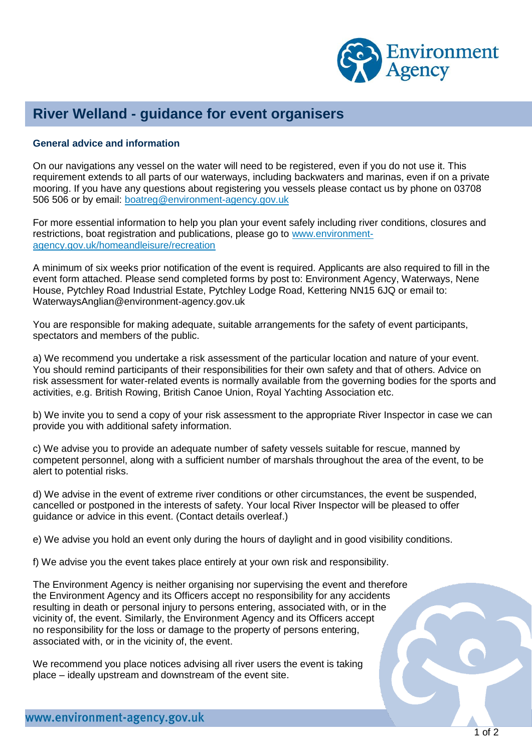

## **River Welland - guidance for event organisers**

## **General advice and information**

On our navigations any vessel on the water will need to be registered, even if you do not use it. This requirement extends to all parts of our waterways, including backwaters and marinas, even if on a private mooring. If you have any questions about registering you vessels please contact us by phone on 03708 506 506 or by email: [boatreg@environment-agency.gov.uk](mailto:boatreg@environment-agency.gov.uk)

For more essential information to help you plan your event safely including river conditions, closures and restrictions, boat registration and publications, please go to [www.environment](http://www.environment-agency.gov.uk/homeandleisure/recreation)[agency.gov.uk/homeandleisure/recreation](http://www.environment-agency.gov.uk/homeandleisure/recreation)

A minimum of six weeks prior notification of the event is required. Applicants are also required to fill in the event form attached. Please send completed forms by post to: Environment Agency, Waterways, Nene House, Pytchley Road Industrial Estate, Pytchley Lodge Road, Kettering NN15 6JQ or email to: WaterwaysAnglian@environment-agency.gov.uk

You are responsible for making adequate, suitable arrangements for the safety of event participants, spectators and members of the public.

a) We recommend you undertake a risk assessment of the particular location and nature of your event. You should remind participants of their responsibilities for their own safety and that of others. Advice on risk assessment for water-related events is normally available from the governing bodies for the sports and activities, e.g. British Rowing, British Canoe Union, Royal Yachting Association etc.

b) We invite you to send a copy of your risk assessment to the appropriate River Inspector in case we can provide you with additional safety information.

c) We advise you to provide an adequate number of safety vessels suitable for rescue, manned by competent personnel, along with a sufficient number of marshals throughout the area of the event, to be alert to potential risks.

d) We advise in the event of extreme river conditions or other circumstances, the event be suspended, cancelled or postponed in the interests of safety. Your local River Inspector will be pleased to offer guidance or advice in this event. (Contact details overleaf.)

e) We advise you hold an event only during the hours of daylight and in good visibility conditions.

f) We advise you the event takes place entirely at your own risk and responsibility.

The Environment Agency is neither organising nor supervising the event and therefore the Environment Agency and its Officers accept no responsibility for any accidents resulting in death or personal injury to persons entering, associated with, or in the vicinity of, the event. Similarly, the Environment Agency and its Officers accept no responsibility for the loss or damage to the property of persons entering, associated with, or in the vicinity of, the event.

We recommend you place notices advising all river users the event is taking place – ideally upstream and downstream of the event site.